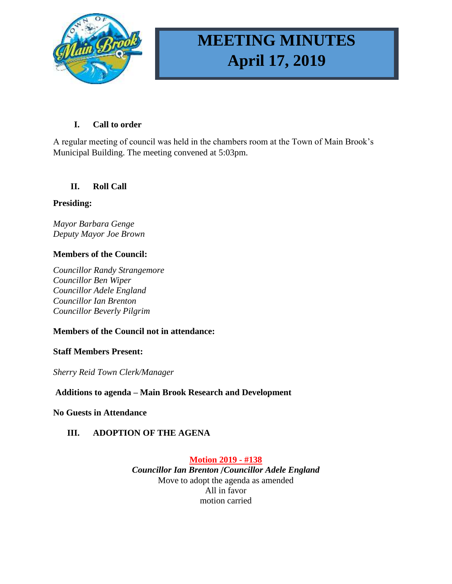

# **MEETING MINUTES April 17, 2019**

# **I. Call to order**

A regular meeting of council was held in the chambers room at the Town of Main Brook's Municipal Building. The meeting convened at 5:03pm.

# **II. Roll Call**

# **Presiding:**

*Mayor Barbara Genge Deputy Mayor Joe Brown*

# **Members of the Council:**

*Councillor Randy Strangemore Councillor Ben Wiper Councillor Adele England Councillor Ian Brenton Councillor Beverly Pilgrim*

# **Members of the Council not in attendance:**

## **Staff Members Present:**

*Sherry Reid Town Clerk/Manager*

# **Additions to agenda – Main Brook Research and Development**

## **No Guests in Attendance**

# **III. ADOPTION OF THE AGENA**

**Motion 2019 - #138** *Councillor Ian Brenton* /*Councillor Adele England* Move to adopt the agenda as amended All in favor motion carried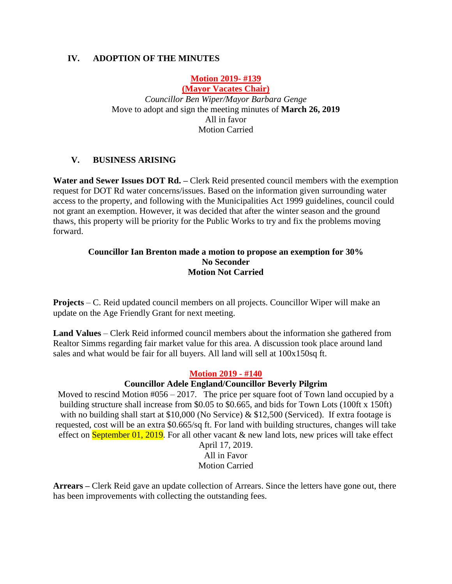# **IV. ADOPTION OF THE MINUTES**

# **Motion 2019- #139**

**(Mayor Vacates Chair)** *Councillor Ben Wiper/Mayor Barbara Genge* Move to adopt and sign the meeting minutes of **March 26, 2019** All in favor Motion Carried

## **V. BUSINESS ARISING**

**Water and Sewer Issues DOT Rd. –** Clerk Reid presented council members with the exemption request for DOT Rd water concerns/issues. Based on the information given surrounding water access to the property, and following with the Municipalities Act 1999 guidelines, council could not grant an exemption. However, it was decided that after the winter season and the ground thaws, this property will be priority for the Public Works to try and fix the problems moving forward.

#### **Councillor Ian Brenton made a motion to propose an exemption for 30% No Seconder Motion Not Carried**

**Projects** – C. Reid updated council members on all projects. Councillor Wiper will make an update on the Age Friendly Grant for next meeting.

**Land Values** – Clerk Reid informed council members about the information she gathered from Realtor Simms regarding fair market value for this area. A discussion took place around land sales and what would be fair for all buyers. All land will sell at 100x150sq ft.

#### **Motion 2019 - #140**

#### **Councillor Adele England/Councillor Beverly Pilgrim**

Moved to rescind Motion #056 – 2017. The price per square foot of Town land occupied by a building structure shall increase from \$0.05 to \$0.665, and bids for Town Lots (100ft x 150ft) with no building shall start at \$10,000 (No Service)  $\&$  \$12,500 (Serviced). If extra footage is requested, cost will be an extra \$0.665/sq ft. For land with building structures, changes will take effect on September 01, 2019. For all other vacant  $\&$  new land lots, new prices will take effect

April 17, 2019. All in Favor Motion Carried

**Arrears –** Clerk Reid gave an update collection of Arrears. Since the letters have gone out, there has been improvements with collecting the outstanding fees.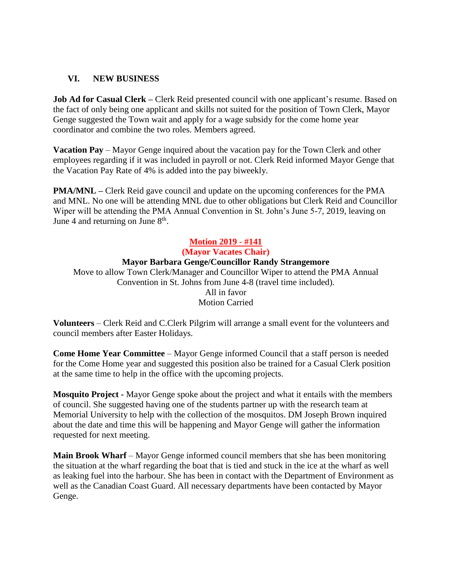## **VI. NEW BUSINESS**

**Job Ad for Casual Clerk –** Clerk Reid presented council with one applicant's resume. Based on the fact of only being one applicant and skills not suited for the position of Town Clerk, Mayor Genge suggested the Town wait and apply for a wage subsidy for the come home year coordinator and combine the two roles. Members agreed.

**Vacation Pay** – Mayor Genge inquired about the vacation pay for the Town Clerk and other employees regarding if it was included in payroll or not. Clerk Reid informed Mayor Genge that the Vacation Pay Rate of 4% is added into the pay biweekly.

**PMA/MNL –** Clerk Reid gave council and update on the upcoming conferences for the PMA and MNL. No one will be attending MNL due to other obligations but Clerk Reid and Councillor Wiper will be attending the PMA Annual Convention in St. John's June 5-7, 2019, leaving on June 4 and returning on June  $8<sup>th</sup>$ .

### **Motion 2019 - #141 (Mayor Vacates Chair) Mayor Barbara Genge/Councillor Randy Strangemore** Move to allow Town Clerk/Manager and Councillor Wiper to attend the PMA Annual Convention in St. Johns from June 4-8 (travel time included). All in favor Motion Carried

**Volunteers** – Clerk Reid and C.Clerk Pilgrim will arrange a small event for the volunteers and council members after Easter Holidays.

**Come Home Year Committee** – Mayor Genge informed Council that a staff person is needed for the Come Home year and suggested this position also be trained for a Casual Clerk position at the same time to help in the office with the upcoming projects.

**Mosquito Project -** Mayor Genge spoke about the project and what it entails with the members of council. She suggested having one of the students partner up with the research team at Memorial University to help with the collection of the mosquitos. DM Joseph Brown inquired about the date and time this will be happening and Mayor Genge will gather the information requested for next meeting.

**Main Brook Wharf** – Mayor Genge informed council members that she has been monitoring the situation at the wharf regarding the boat that is tied and stuck in the ice at the wharf as well as leaking fuel into the harbour. She has been in contact with the Department of Environment as well as the Canadian Coast Guard. All necessary departments have been contacted by Mayor Genge.